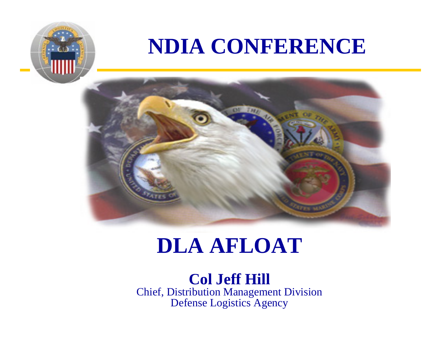### **NDIA CONFERENCE**



### **DLA AFLOAT**

**Col Jeff Hill** Chief, Distribution Management Division Defense Logistics Agency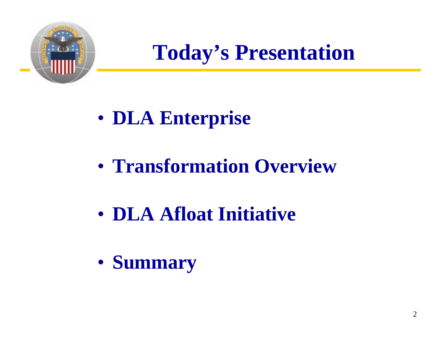

**Today's Presentation**

- $\bullet$ **DLA Enterprise**
- **Transformation Overview**
- **DLA Afloat Initiative**
- $\bullet$ **Summary**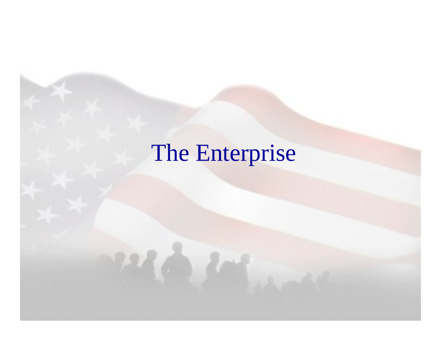# The Enterprise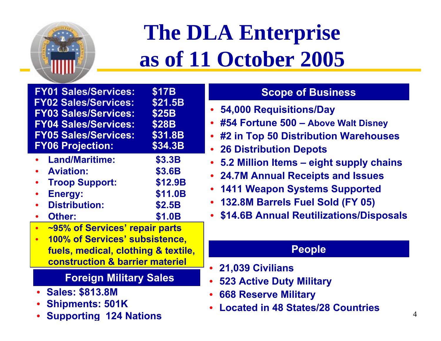

# **The DLA Enterprise as of 11 October 2005**

**FY01 Sales/Services: \$17B FY02 Sales/Services: \$21.5B FY03 Sales/Services: \$25B FY04 Sales/Services: \$28B FY05 Sales/Services: \$31.8B FY06 Projection: \$34.3B**

- •**Land/Maritime: \$3.3B**
- •**Aviation: \$3.6B**
- • **Troop Support: \$12.9B** •
- **Energy: \$11.0B** •**Distribution: ution: \$2.5B**
- •**Other: \$1.0B**
- •**~95% of Services' repair parts**
- • **100% of Services' subsistence, fuels, medical, clothing & textile, construction & barri er materiel**

### **Foreign Military Sales**

- •**Sales: \$813.8M**
- •**Shipments: 501K**
- •**Supportin g 124 Nations**

### **Scope of Business**

- •**54,000 Requisitions/Day**
- •**#54 Fortune 500 – Above Walt Disney**
- •**#2 in Top 50 Distribution Warehouses**
- •**26 Distribution Depots**
- •**5.2 Million Items – eight supply chains**
- $\bullet$ **24.7M Annual Receipts and Issues**
- •**1411 Weapon Systems Supported**
- •**132.8M Barrels Fuel Sold (FY 05)**
- •**\$14.6B Annual Reutilizations/Disposals**

#### **People**

- •**21,039 Civilians**
- •**523 Active Duty Military**
- •**668 Reserve Military**
- •**Located in 48 States/28 Countries**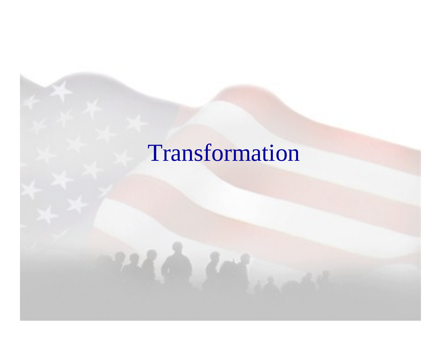## Transformation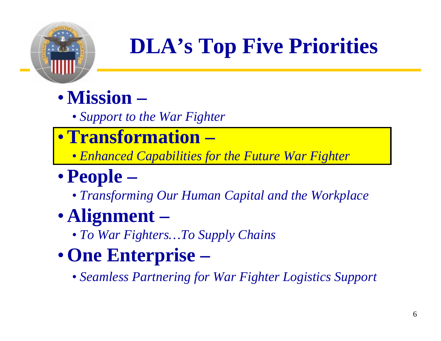

# **DLA's Top Five Priorities**

- •**Mission–**
	- *Support to the War Fighter*
- •**Transformation –**
	- *Enhanced Capabilities for the Future War Fighter*

## •**People –**

• *Transforming Our Human Capital and the Workplace*

### • **Alignment –**

- *To War Fighters…To Supply Chains*
- •**One Enterprise –**
	- *Seamless Partnering for War Fighter Logistics Support*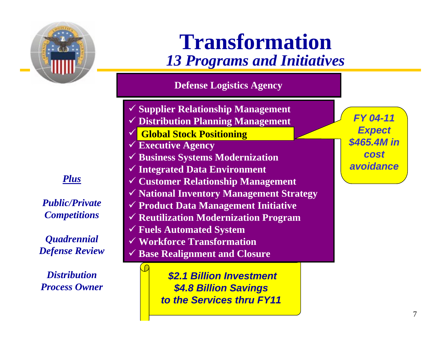

**Transformation***13 Programs and Initiatives*

**Defense Logistics Agency**

- 9 **Supplier Relationship Management** 9 **Distribution Planning Management**  $\checkmark$ **Global Stock Positioning Global Stock Positioning**
- 9 **Executive Agency**
- 9 **Business Systems Modernization**
- 9 **Integrated Data Environment** 9 **Customer Relationship Management**
- 
- 9 **National Inventory Management Strategy** 9 **Product Data Management Initiative**
- 9 **Reutilization Modernization Program**
- 9 **Fuels Automated System**
- 9 **Workforce Transformation**
- 9 **Base Realignment and Closure**

*\$2.1 Billion Investment \$4.8 Billion Savings to the Services thru FY11*

*FY 04-11Expect \$465.4M in cost avoidance* 

*Plus* 

*Public/Private Competitions*

*Quadrennial Defense Review*

*Distribution Process Owner*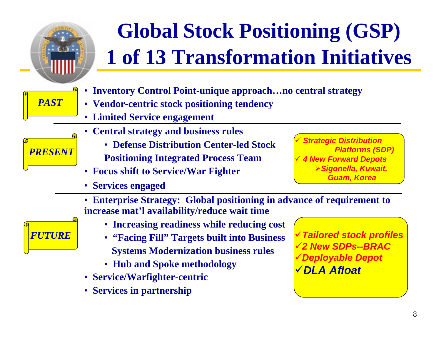

- **Service/Warfighter-centric**
- **Services in partnership**

9*DLA Afloat*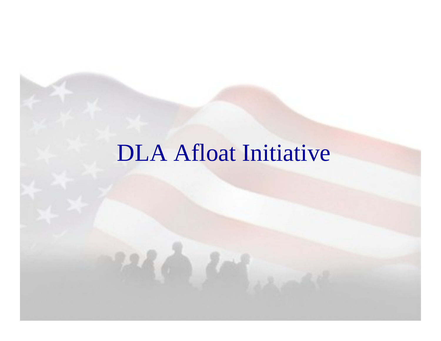## DLA Afloat Initiative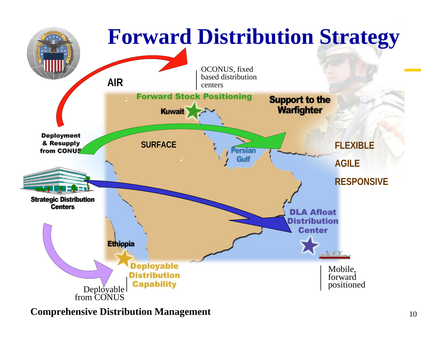

#### **Comprehensive Distribution Management**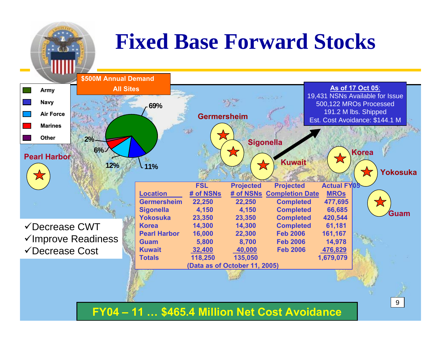## **Fixed Base Forward Stocks**

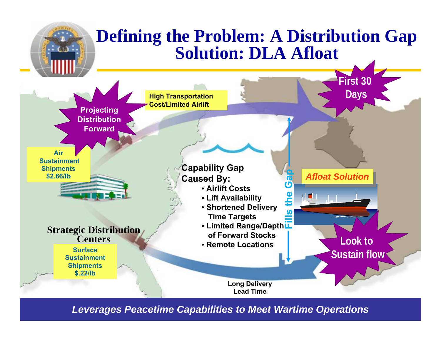

*Leverages Peacetime Capabilities to Meet Wartime Operations*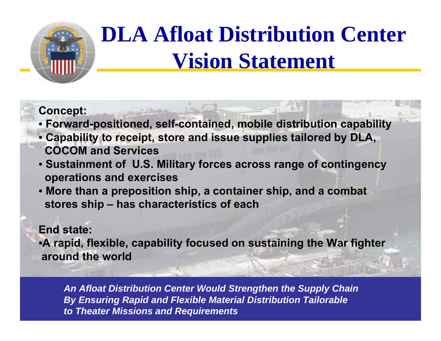

# **DLA Afloat Distribution Center Vision Statement**

#### **Concept:**

- **Forward-positioned, self-contained, mobile distribution capability**
- **Capability to receipt, store and issue supplies tailored by DLA, COCOM and Services**
- **Sustainment of U.S. Military forces across range of contingency operations and exercises**
- **More than a preposition ship, a container ship, and a combat stores ship – has characteristics of each**

#### **End state:**

•**A rapid, flexible, capability focused on sustaining the War fighter around the world**

*An Afloat Distribution Center Would Strengthen the Supply Chain*  By Ensuring Rapid and Flexible Material Distribution Tailorable *to Theater Missions and Requirements*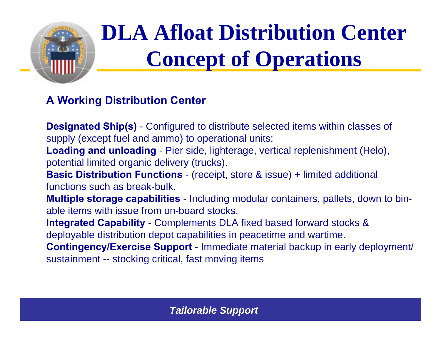

# **DLA Afloat Distribution Center Concept of Operations**

#### **A Working Distribution Center**

**Designated Ship(s)** - Configured to distribute selected items within classes of supply (except fuel and ammo) to operational units; **Loading and unloading** - Pier side, lighterage, vertical replenishment (Helo), potential limited organic delivery (trucks). **Basic Distribution Functions** - (receipt, store & issue) + limited additional functions such as break-bulk.**Multiple storage capabilities** - Including modular containers, pallets, down to bin-

able items with issue from on-board stocks.

**Integrated Capability** - Complements DLA fixed based forward stocks & deployable distribution depot capabilities in peacetime and wartime.

**Contingency/Exercise Support** - Immediate material backup in early deployment/ sustainment -- stocking critical, fast moving items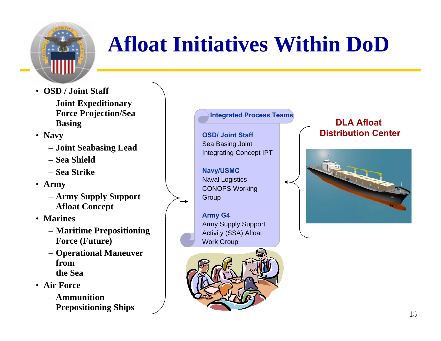

# **Afloat Initiatives Within DoD**

- **OSD / Joint Staff**
	- **Joint E xpeditionary Force Projection/Sea Basing**
- **Navy**
	- **Joint Seabasing Lead**
	- **Sea Shield**
	- **Sea Strike**
- **Army**
	- **Army Supply Support Afloat Concept**
- **Marines**
	- **Maritime Prepositioning Force (Future)**
	- **Operational Maneuver fromthe Sea**
- **Air Force**
	- **Ammunition Prepositioning Ships**

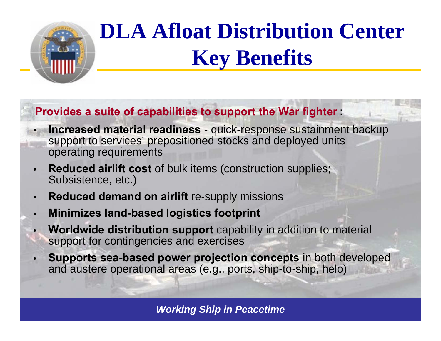

## **DLA Afloat Distribution Center Key Benefits**

#### **Provides a suite of capabilities to support the War fighter :**

- • **Increased material readiness** - quick-response sustainment backup support to services' prepositioned stocks and deployed units operating requirements
- • **Reduced airlift cost** of bulk items (construction supplies; Subsistence, etc.)
- •**Reduced demand on airlift** re-supply missions
- •**Minimizes land-based logistics footprint**
- • **Worldwide distribution support** capability in addition to material support for contingencies and exercises
- • **Supports sea-based power projection concepts** in both developed and austere operational areas (e.g., ports, ship-to-ship, helo)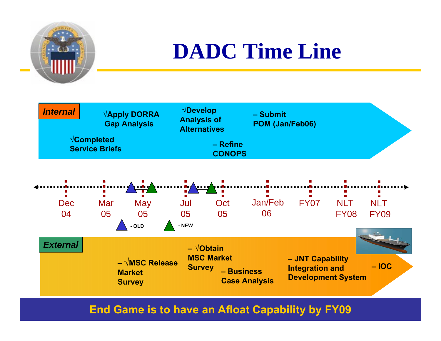

## **DADC Time Line**



#### **End Game is to have an Afloat Capability by FY09**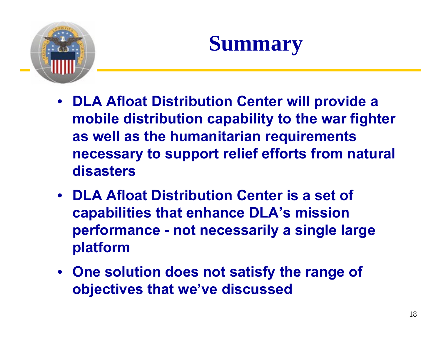

## **Summary**

- **DLA Afloat Distribution Center will provide a mobile distribution capability to the war fighter as well as the humanitarian requirements necessary to support relief efforts from natural disasters**
- **DLA Afloat Distribution Center is a set of capabilities that enhance DLA's mission performance - not necessarily a single large platform**
- **One solution does not satisfy the range of objectives that we've discussed**